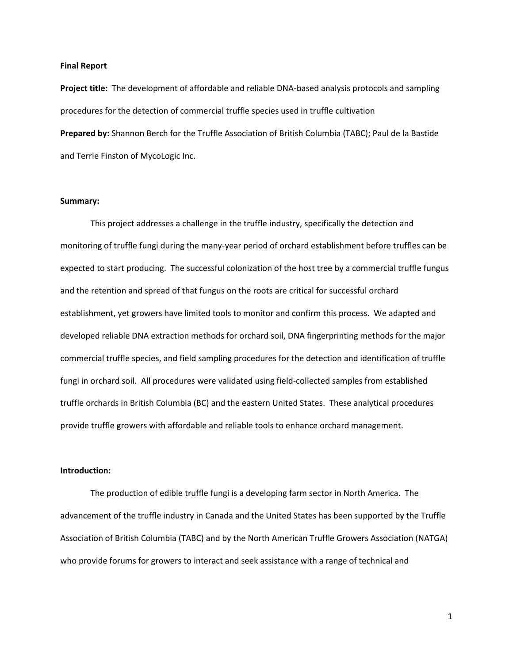#### **Final Report**

**Project title:** The development of affordable and reliable DNA-based analysis protocols and sampling procedures for the detection of commercial truffle species used in truffle cultivation **Prepared by:** Shannon Berch for the Truffle Association of British Columbia (TABC); Paul de la Bastide and Terrie Finston of MycoLogic Inc.

#### **Summary:**

This project addresses a challenge in the truffle industry, specifically the detection and monitoring of truffle fungi during the many-year period of orchard establishment before truffles can be expected to start producing. The successful colonization of the host tree by a commercial truffle fungus and the retention and spread of that fungus on the roots are critical for successful orchard establishment, yet growers have limited tools to monitor and confirm this process. We adapted and developed reliable DNA extraction methods for orchard soil, DNA fingerprinting methods for the major commercial truffle species, and field sampling procedures for the detection and identification of truffle fungi in orchard soil. All procedures were validated using field-collected samples from established truffle orchards in British Columbia (BC) and the eastern United States. These analytical procedures provide truffle growers with affordable and reliable tools to enhance orchard management.

# **Introduction:**

The production of edible truffle fungi is a developing farm sector in North America. The advancement of the truffle industry in Canada and the United States has been supported by the Truffle Association of British Columbia (TABC) and by the North American Truffle Growers Association (NATGA) who provide forums for growers to interact and seek assistance with a range of technical and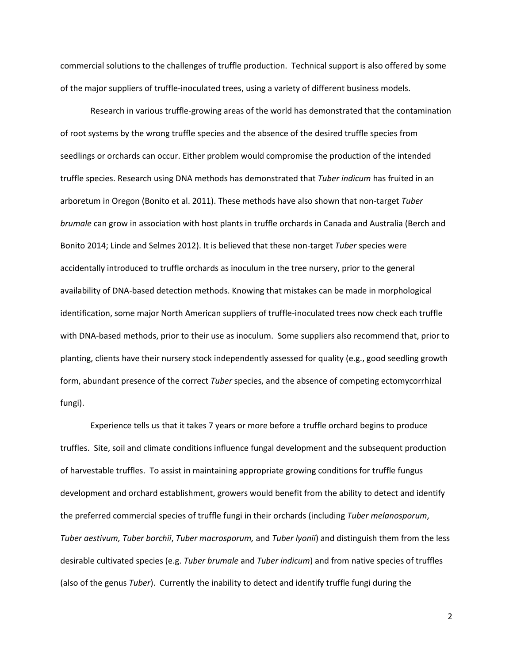commercial solutions to the challenges of truffle production. Technical support is also offered by some of the major suppliers of truffle-inoculated trees, using a variety of different business models.

Research in various truffle-growing areas of the world has demonstrated that the contamination of root systems by the wrong truffle species and the absence of the desired truffle species from seedlings or orchards can occur. Either problem would compromise the production of the intended truffle species. Research using DNA methods has demonstrated that *Tuber indicum* has fruited in an arboretum in Oregon (Bonito et al. 2011). These methods have also shown that non-target *Tuber brumale* can grow in association with host plants in truffle orchards in Canada and Australia (Berch and Bonito 2014; Linde and Selmes 2012). It is believed that these non-target *Tuber* species were accidentally introduced to truffle orchards as inoculum in the tree nursery, prior to the general availability of DNA-based detection methods. Knowing that mistakes can be made in morphological identification, some major North American suppliers of truffle-inoculated trees now check each truffle with DNA-based methods, prior to their use as inoculum. Some suppliers also recommend that, prior to planting, clients have their nursery stock independently assessed for quality (e.g., good seedling growth form, abundant presence of the correct *Tuber* species, and the absence of competing ectomycorrhizal fungi).

Experience tells us that it takes 7 years or more before a truffle orchard begins to produce truffles. Site, soil and climate conditions influence fungal development and the subsequent production of harvestable truffles. To assist in maintaining appropriate growing conditions for truffle fungus development and orchard establishment, growers would benefit from the ability to detect and identify the preferred commercial species of truffle fungi in their orchards (including *Tuber melanosporum*, *Tuber aestivum, Tuber borchii*, *Tuber macrosporum,* and *Tuber lyonii*) and distinguish them from the less desirable cultivated species (e.g. *Tuber brumale* and *Tuber indicum*) and from native species of truffles (also of the genus *Tuber*). Currently the inability to detect and identify truffle fungi during the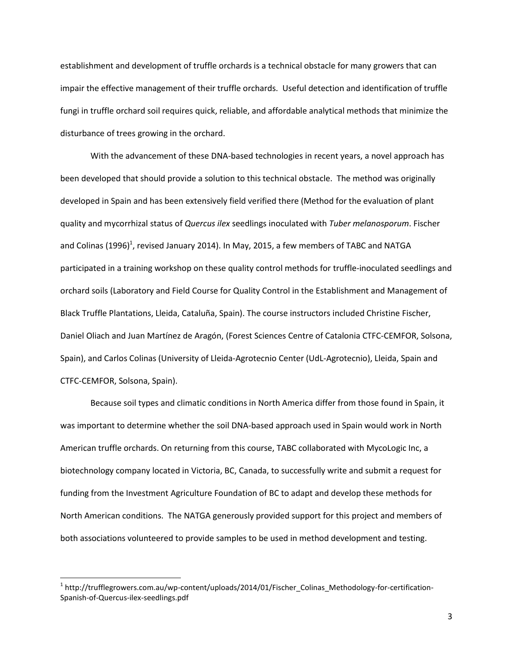establishment and development of truffle orchards is a technical obstacle for many growers that can impair the effective management of their truffle orchards. Useful detection and identification of truffle fungi in truffle orchard soil requires quick, reliable, and affordable analytical methods that minimize the disturbance of trees growing in the orchard.

With the advancement of these DNA-based technologies in recent years, a novel approach has been developed that should provide a solution to this technical obstacle. The method was originally developed in Spain and has been extensively field verified there (Method for the evaluation of plant quality and mycorrhizal status of *Quercus ilex* seedlings inoculated with *Tuber melanosporum*. Fischer and Colinas (1996)<sup>1</sup>, revised January 2014). In May, 2015, a few members of TABC and NATGA participated in a training workshop on these quality control methods for truffle-inoculated seedlings and orchard soils (Laboratory and Field Course for Quality Control in the Establishment and Management of Black Truffle Plantations, Lleida, Cataluña, Spain). The course instructors included Christine Fischer, Daniel Oliach and Juan Martínez de Aragón, (Forest Sciences Centre of Catalonia CTFC-CEMFOR, Solsona, Spain), and Carlos Colinas (University of Lleida-Agrotecnio Center (UdL-Agrotecnio), Lleida, Spain and CTFC-CEMFOR, Solsona, Spain).

Because soil types and climatic conditions in North America differ from those found in Spain, it was important to determine whether the soil DNA-based approach used in Spain would work in North American truffle orchards. On returning from this course, TABC collaborated with MycoLogic Inc, a biotechnology company located in Victoria, BC, Canada, to successfully write and submit a request for funding from the Investment Agriculture Foundation of BC to adapt and develop these methods for North American conditions. The NATGA generously provided support for this project and members of both associations volunteered to provide samples to be used in method development and testing.

<sup>&</sup>lt;sup>1</sup> http://trufflegrowers.com.au/wp-content/uploads/2014/01/Fischer\_Colinas\_Methodology-for-certification-Spanish-of-Quercus-ilex-seedlings.pdf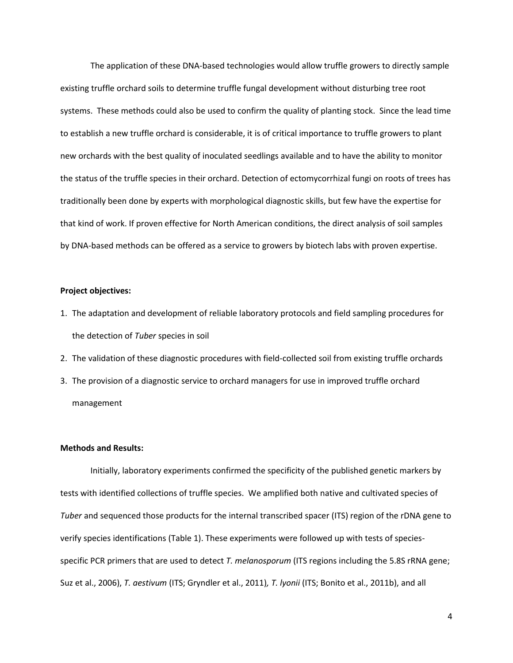The application of these DNA-based technologies would allow truffle growers to directly sample existing truffle orchard soils to determine truffle fungal development without disturbing tree root systems. These methods could also be used to confirm the quality of planting stock. Since the lead time to establish a new truffle orchard is considerable, it is of critical importance to truffle growers to plant new orchards with the best quality of inoculated seedlings available and to have the ability to monitor the status of the truffle species in their orchard. Detection of ectomycorrhizal fungi on roots of trees has traditionally been done by experts with morphological diagnostic skills, but few have the expertise for that kind of work. If proven effective for North American conditions, the direct analysis of soil samples by DNA-based methods can be offered as a service to growers by biotech labs with proven expertise.

## **Project objectives:**

- 1. The adaptation and development of reliable laboratory protocols and field sampling procedures for the detection of *Tuber* species in soil
- 2. The validation of these diagnostic procedures with field-collected soil from existing truffle orchards
- 3. The provision of a diagnostic service to orchard managers for use in improved truffle orchard management

# **Methods and Results:**

Initially, laboratory experiments confirmed the specificity of the published genetic markers by tests with identified collections of truffle species. We amplified both native and cultivated species of *Tuber* and sequenced those products for the internal transcribed spacer (ITS) region of the rDNA gene to verify species identifications (Table 1). These experiments were followed up with tests of speciesspecific PCR primers that are used to detect *T. melanosporum* (ITS regions including the 5.8S rRNA gene; Suz et al., 2006), *T. aestivum* (ITS; Gryndler et al., 2011)*, T. lyonii* (ITS; Bonito et al., 2011b), and all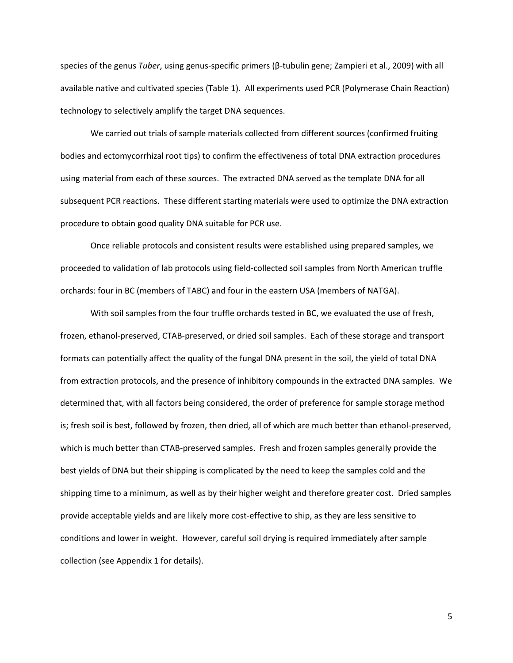species of the genus *Tuber*, using genus-specific primers (β-tubulin gene; Zampieri et al., 2009) with all available native and cultivated species (Table 1). All experiments used PCR (Polymerase Chain Reaction) technology to selectively amplify the target DNA sequences.

We carried out trials of sample materials collected from different sources (confirmed fruiting bodies and ectomycorrhizal root tips) to confirm the effectiveness of total DNA extraction procedures using material from each of these sources. The extracted DNA served as the template DNA for all subsequent PCR reactions. These different starting materials were used to optimize the DNA extraction procedure to obtain good quality DNA suitable for PCR use.

Once reliable protocols and consistent results were established using prepared samples, we proceeded to validation of lab protocols using field-collected soil samples from North American truffle orchards: four in BC (members of TABC) and four in the eastern USA (members of NATGA).

With soil samples from the four truffle orchards tested in BC, we evaluated the use of fresh, frozen, ethanol-preserved, CTAB-preserved, or dried soil samples. Each of these storage and transport formats can potentially affect the quality of the fungal DNA present in the soil, the yield of total DNA from extraction protocols, and the presence of inhibitory compounds in the extracted DNA samples. We determined that, with all factors being considered, the order of preference for sample storage method is; fresh soil is best, followed by frozen, then dried, all of which are much better than ethanol-preserved, which is much better than CTAB-preserved samples. Fresh and frozen samples generally provide the best yields of DNA but their shipping is complicated by the need to keep the samples cold and the shipping time to a minimum, as well as by their higher weight and therefore greater cost. Dried samples provide acceptable yields and are likely more cost-effective to ship, as they are less sensitive to conditions and lower in weight. However, careful soil drying is required immediately after sample collection (see Appendix 1 for details).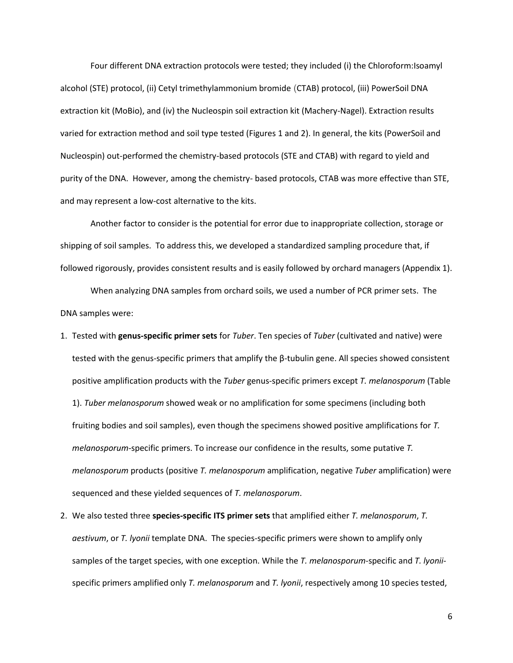Four different DNA extraction protocols were tested; they included (i) the Chloroform:Isoamyl alcohol (STE) protocol, (ii) Cetyl trimethylammonium bromide (CTAB) protocol, (iii) PowerSoil DNA extraction kit (MoBio), and (iv) the Nucleospin soil extraction kit (Machery-Nagel). Extraction results varied for extraction method and soil type tested (Figures 1 and 2). In general, the kits (PowerSoil and Nucleospin) out-performed the chemistry-based protocols (STE and CTAB) with regard to yield and purity of the DNA. However, among the chemistry- based protocols, CTAB was more effective than STE, and may represent a low-cost alternative to the kits.

Another factor to consider is the potential for error due to inappropriate collection, storage or shipping of soil samples. To address this, we developed a standardized sampling procedure that, if followed rigorously, provides consistent results and is easily followed by orchard managers (Appendix 1).

When analyzing DNA samples from orchard soils, we used a number of PCR primer sets. The DNA samples were:

- 1. Tested with **genus-specific primer sets** for *Tuber*. Ten species of *Tuber* (cultivated and native) were tested with the genus-specific primers that amplify the β-tubulin gene. All species showed consistent positive amplification products with the *Tuber* genus-specific primers except *T. melanosporum* (Table 1). *Tuber melanosporum* showed weak or no amplification for some specimens (including both fruiting bodies and soil samples), even though the specimens showed positive amplifications for *T. melanosporum*-specific primers. To increase our confidence in the results, some putative *T. melanosporum* products (positive *T. melanosporum* amplification, negative *Tuber* amplification) were sequenced and these yielded sequences of *T. melanosporum*.
- 2. We also tested three **species-specific ITS primer sets** that amplified either *T. melanosporum*, *T. aestivum*, or *T. lyonii* template DNA. The species-specific primers were shown to amplify only samples of the target species, with one exception. While the *T. melanosporum*-specific and *T. lyonii*specific primers amplified only *T. melanosporum* and *T. lyonii*, respectively among 10 species tested,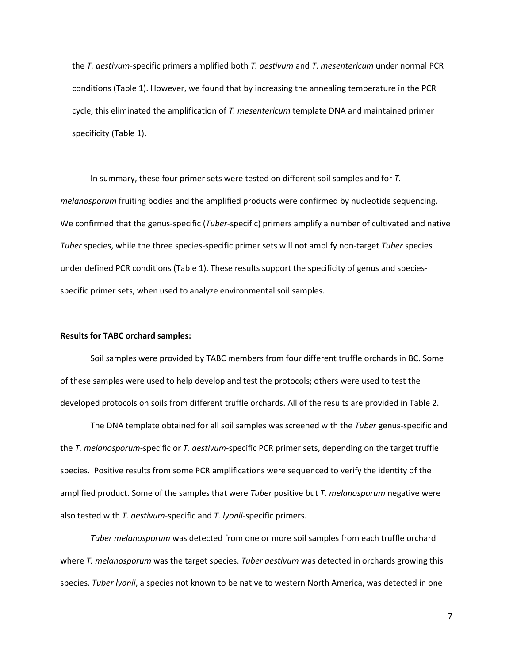the *T. aestivum*-specific primers amplified both *T. aestivum* and *T. mesentericum* under normal PCR conditions (Table 1). However, we found that by increasing the annealing temperature in the PCR cycle, this eliminated the amplification of *T. mesentericum* template DNA and maintained primer specificity (Table 1).

In summary, these four primer sets were tested on different soil samples and for *T. melanosporum* fruiting bodies and the amplified products were confirmed by nucleotide sequencing. We confirmed that the genus-specific (*Tuber*-specific) primers amplify a number of cultivated and native *Tuber* species, while the three species-specific primer sets will not amplify non-target *Tuber* species under defined PCR conditions (Table 1). These results support the specificity of genus and speciesspecific primer sets, when used to analyze environmental soil samples.

# **Results for TABC orchard samples:**

Soil samples were provided by TABC members from four different truffle orchards in BC. Some of these samples were used to help develop and test the protocols; others were used to test the developed protocols on soils from different truffle orchards. All of the results are provided in Table 2.

The DNA template obtained for all soil samples was screened with the *Tuber* genus-specific and the *T. melanosporum*-specific or *T. aestivum*-specific PCR primer sets, depending on the target truffle species. Positive results from some PCR amplifications were sequenced to verify the identity of the amplified product. Some of the samples that were *Tuber* positive but *T. melanosporum* negative were also tested with *T. aestivum*-specific and *T. lyonii*-specific primers.

*Tuber melanosporum* was detected from one or more soil samples from each truffle orchard where *T. melanosporum* was the target species. *Tuber aestivum* was detected in orchards growing this species. *Tuber lyonii*, a species not known to be native to western North America, was detected in one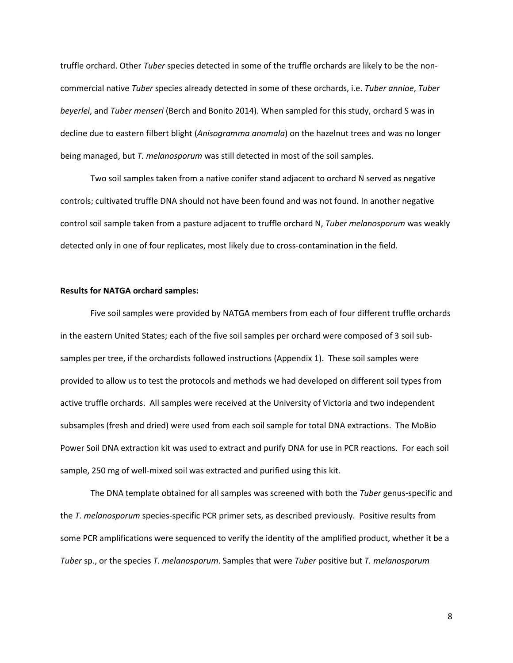truffle orchard. Other *Tuber* species detected in some of the truffle orchards are likely to be the noncommercial native *Tuber* species already detected in some of these orchards, i.e. *Tuber anniae*, *Tuber beyerlei*, and *Tuber menseri* (Berch and Bonito 2014). When sampled for this study, orchard S was in decline due to eastern filbert blight (*Anisogramma anomala*) on the hazelnut trees and was no longer being managed, but *T. melanosporum* was still detected in most of the soil samples.

Two soil samples taken from a native conifer stand adjacent to orchard N served as negative controls; cultivated truffle DNA should not have been found and was not found. In another negative control soil sample taken from a pasture adjacent to truffle orchard N, *Tuber melanosporum* was weakly detected only in one of four replicates, most likely due to cross-contamination in the field.

## **Results for NATGA orchard samples:**

Five soil samples were provided by NATGA members from each of four different truffle orchards in the eastern United States; each of the five soil samples per orchard were composed of 3 soil subsamples per tree, if the orchardists followed instructions (Appendix 1). These soil samples were provided to allow us to test the protocols and methods we had developed on different soil types from active truffle orchards. All samples were received at the University of Victoria and two independent subsamples (fresh and dried) were used from each soil sample for total DNA extractions. The MoBio Power Soil DNA extraction kit was used to extract and purify DNA for use in PCR reactions. For each soil sample, 250 mg of well-mixed soil was extracted and purified using this kit.

The DNA template obtained for all samples was screened with both the *Tuber* genus-specific and the *T. melanosporum* species-specific PCR primer sets, as described previously. Positive results from some PCR amplifications were sequenced to verify the identity of the amplified product, whether it be a *Tuber* sp., or the species *T. melanosporum*. Samples that were *Tuber* positive but *T. melanosporum*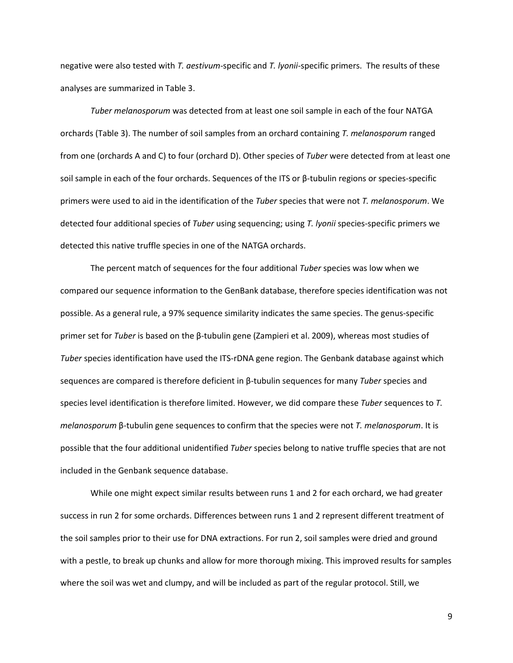negative were also tested with *T. aestivum*-specific and *T. lyonii*-specific primers. The results of these analyses are summarized in Table 3.

*Tuber melanosporum* was detected from at least one soil sample in each of the four NATGA orchards (Table 3). The number of soil samples from an orchard containing *T. melanosporum* ranged from one (orchards A and C) to four (orchard D). Other species of *Tuber* were detected from at least one soil sample in each of the four orchards. Sequences of the ITS or β-tubulin regions or species-specific primers were used to aid in the identification of the *Tuber* species that were not *T. melanosporum*. We detected four additional species of *Tuber* using sequencing; using *T. lyonii* species-specific primers we detected this native truffle species in one of the NATGA orchards.

The percent match of sequences for the four additional *Tuber* species was low when we compared our sequence information to the GenBank database, therefore species identification was not possible. As a general rule, a 97% sequence similarity indicates the same species. The genus-specific primer set for *Tuber* is based on the β-tubulin gene (Zampieri et al. 2009), whereas most studies of *Tuber* species identification have used the ITS-rDNA gene region. The Genbank database against which sequences are compared is therefore deficient in β-tubulin sequences for many *Tuber* species and species level identification is therefore limited. However, we did compare these *Tuber* sequences to *T. melanosporum* β-tubulin gene sequences to confirm that the species were not *T. melanosporum*. It is possible that the four additional unidentified *Tuber* species belong to native truffle species that are not included in the Genbank sequence database.

While one might expect similar results between runs 1 and 2 for each orchard, we had greater success in run 2 for some orchards. Differences between runs 1 and 2 represent different treatment of the soil samples prior to their use for DNA extractions. For run 2, soil samples were dried and ground with a pestle, to break up chunks and allow for more thorough mixing. This improved results for samples where the soil was wet and clumpy, and will be included as part of the regular protocol. Still, we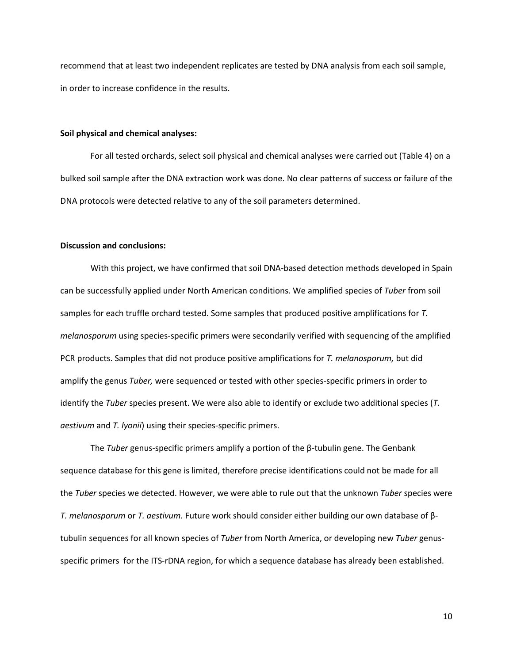recommend that at least two independent replicates are tested by DNA analysis from each soil sample, in order to increase confidence in the results.

#### **Soil physical and chemical analyses:**

For all tested orchards, select soil physical and chemical analyses were carried out (Table 4) on a bulked soil sample after the DNA extraction work was done. No clear patterns of success or failure of the DNA protocols were detected relative to any of the soil parameters determined.

#### **Discussion and conclusions:**

With this project, we have confirmed that soil DNA-based detection methods developed in Spain can be successfully applied under North American conditions. We amplified species of *Tuber* from soil samples for each truffle orchard tested. Some samples that produced positive amplifications for *T. melanosporum* using species-specific primers were secondarily verified with sequencing of the amplified PCR products. Samples that did not produce positive amplifications for *T. melanosporum,* but did amplify the genus *Tuber,* were sequenced or tested with other species-specific primers in order to identify the *Tuber* species present. We were also able to identify or exclude two additional species (*T. aestivum* and *T. lyonii*) using their species-specific primers.

The *Tuber* genus-specific primers amplify a portion of the β-tubulin gene. The Genbank sequence database for this gene is limited, therefore precise identifications could not be made for all the *Tuber* species we detected. However, we were able to rule out that the unknown *Tuber* species were *T. melanosporum* or *T. aestivum.* Future work should consider either building our own database of βtubulin sequences for all known species of *Tuber* from North America, or developing new *Tuber* genusspecific primers for the ITS-rDNA region, for which a sequence database has already been established.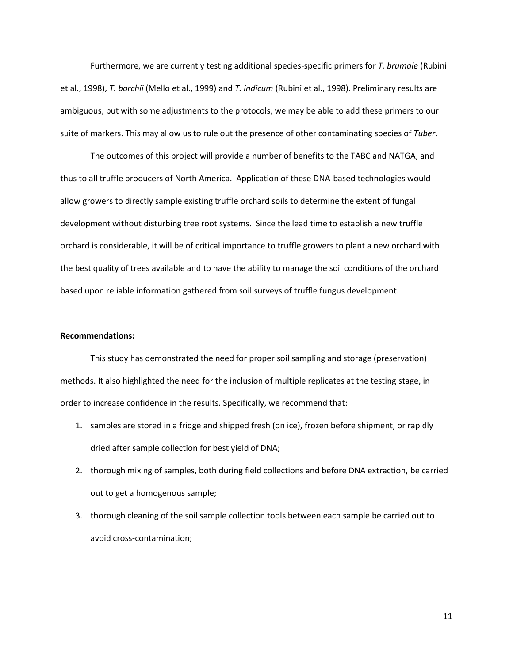Furthermore, we are currently testing additional species-specific primers for *T. brumale* (Rubini et al., 1998), *T. borchii* (Mello et al., 1999) and *T. indicum* (Rubini et al., 1998). Preliminary results are ambiguous, but with some adjustments to the protocols, we may be able to add these primers to our suite of markers. This may allow us to rule out the presence of other contaminating species of *Tuber*.

The outcomes of this project will provide a number of benefits to the TABC and NATGA, and thus to all truffle producers of North America. Application of these DNA-based technologies would allow growers to directly sample existing truffle orchard soils to determine the extent of fungal development without disturbing tree root systems. Since the lead time to establish a new truffle orchard is considerable, it will be of critical importance to truffle growers to plant a new orchard with the best quality of trees available and to have the ability to manage the soil conditions of the orchard based upon reliable information gathered from soil surveys of truffle fungus development.

## **Recommendations:**

This study has demonstrated the need for proper soil sampling and storage (preservation) methods. It also highlighted the need for the inclusion of multiple replicates at the testing stage, in order to increase confidence in the results. Specifically, we recommend that:

- 1. samples are stored in a fridge and shipped fresh (on ice), frozen before shipment, or rapidly dried after sample collection for best yield of DNA;
- 2. thorough mixing of samples, both during field collections and before DNA extraction, be carried out to get a homogenous sample;
- 3. thorough cleaning of the soil sample collection tools between each sample be carried out to avoid cross-contamination;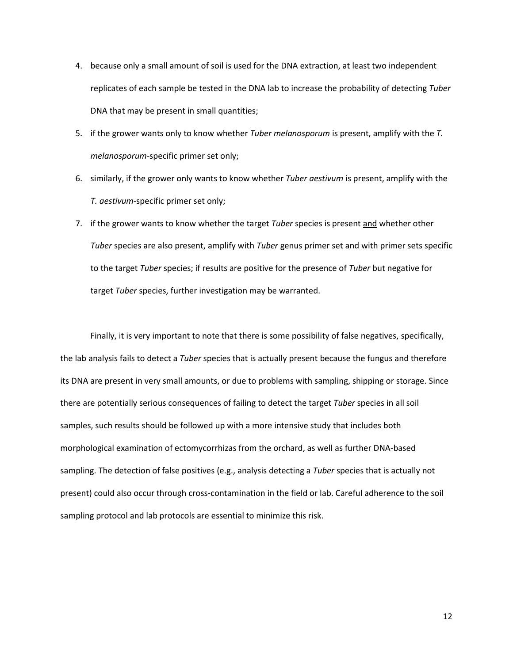- 4. because only a small amount of soil is used for the DNA extraction, at least two independent replicates of each sample be tested in the DNA lab to increase the probability of detecting *Tuber* DNA that may be present in small quantities;
- 5. if the grower wants only to know whether *Tuber melanosporum* is present, amplify with the *T. melanosporum*-specific primer set only;
- 6. similarly, if the grower only wants to know whether *Tuber aestivum* is present, amplify with the *T. aestivum*-specific primer set only;
- 7. if the grower wants to know whether the target *Tuber* species is present and whether other *Tuber* species are also present, amplify with *Tuber* genus primer set and with primer sets specific to the target *Tuber* species; if results are positive for the presence of *Tuber* but negative for target *Tuber* species, further investigation may be warranted.

Finally, it is very important to note that there is some possibility of false negatives, specifically, the lab analysis fails to detect a *Tuber* species that is actually present because the fungus and therefore its DNA are present in very small amounts, or due to problems with sampling, shipping or storage. Since there are potentially serious consequences of failing to detect the target *Tuber* species in all soil samples, such results should be followed up with a more intensive study that includes both morphological examination of ectomycorrhizas from the orchard, as well as further DNA-based sampling. The detection of false positives (e.g., analysis detecting a *Tuber* species that is actually not present) could also occur through cross-contamination in the field or lab. Careful adherence to the soil sampling protocol and lab protocols are essential to minimize this risk.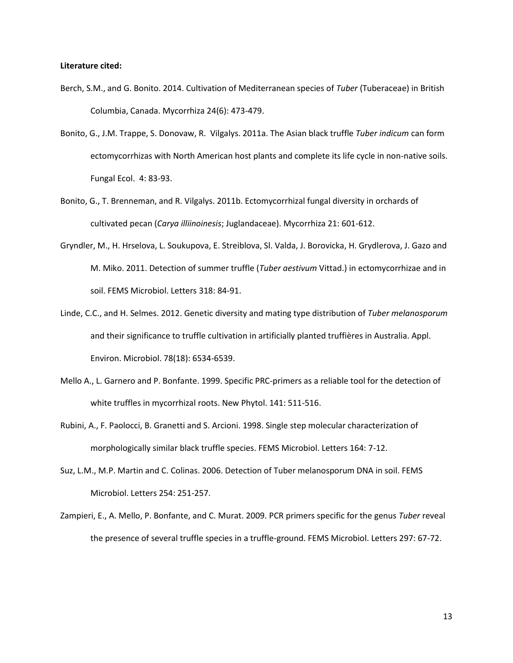### **Literature cited:**

- Berch, S.M., and G. Bonito. 2014. Cultivation of Mediterranean species of *Tuber* (Tuberaceae) in British Columbia, Canada. Mycorrhiza 24(6): 473-479.
- Bonito, G., J.M. Trappe, S. Donovaw, R. Vilgalys. 2011a. The Asian black truffle *Tuber indicum* can form ectomycorrhizas with North American host plants and complete its life cycle in non-native soils. Fungal Ecol. 4: 83-93.
- Bonito, G., T. Brenneman, and R. Vilgalys. 2011b. Ectomycorrhizal fungal diversity in orchards of cultivated pecan (*Carya illiinoinesis*; Juglandaceae). Mycorrhiza 21: 601-612.
- Gryndler, M., H. Hrselova, L. Soukupova, E. Streiblova, Sl. Valda, J. Borovicka, H. Grydlerova, J. Gazo and M. Miko. 2011. Detection of summer truffle (*Tuber aestivum* Vittad.) in ectomycorrhizae and in soil. FEMS Microbiol. Letters 318: 84-91.
- Linde, C.C., and H. Selmes. 2012. Genetic diversity and mating type distribution of *Tuber melanosporum* and their significance to truffle cultivation in artificially planted truffières in Australia. Appl. Environ. Microbiol. 78(18): 6534-6539.
- Mello A., L. Garnero and P. Bonfante. 1999. Specific PRC-primers as a reliable tool for the detection of white truffles in mycorrhizal roots. New Phytol. 141: 511-516.
- Rubini, A., F. Paolocci, B. Granetti and S. Arcioni. 1998. Single step molecular characterization of morphologically similar black truffle species. FEMS Microbiol. Letters 164: 7-12.
- Suz, L.M., M.P. Martin and C. Colinas. 2006. Detection of Tuber melanosporum DNA in soil. FEMS Microbiol. Letters 254: 251-257.
- Zampieri, E., A. Mello, P. Bonfante, and C. Murat. 2009. PCR primers specific for the genus *Tuber* reveal the presence of several truffle species in a truffle-ground. FEMS Microbiol. Letters 297: 67-72.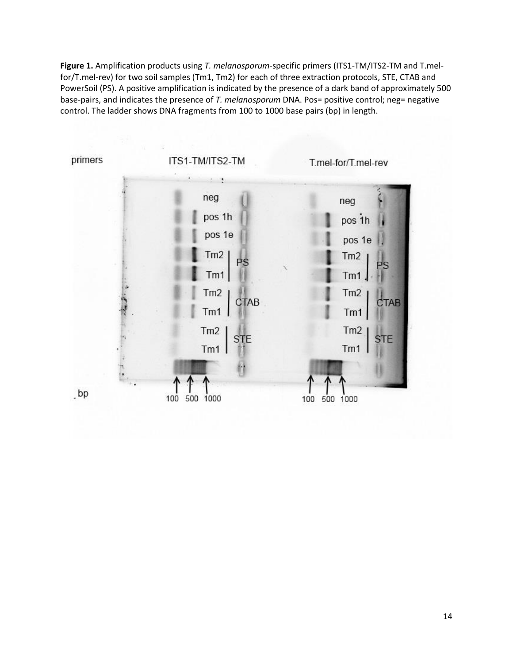**Figure 1.** Amplification products using *T. melanosporum*-specific primers (ITS1-TM/ITS2-TM and T.melfor/T.mel-rev) for two soil samples (Tm1, Tm2) for each of three extraction protocols, STE, CTAB and PowerSoil (PS). A positive amplification is indicated by the presence of a dark band of approximately 500 base-pairs, and indicates the presence of *T. melanosporum* DNA. Pos= positive control; neg= negative control. The ladder shows DNA fragments from 100 to 1000 base pairs (bp) in length.

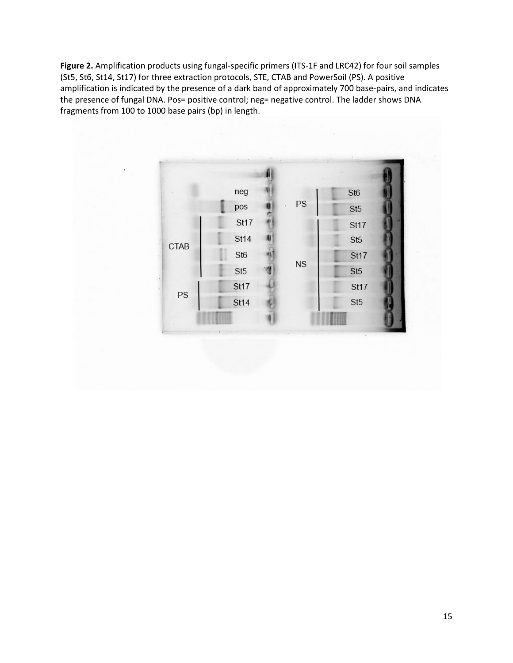**Figure 2.** Amplification products using fungal-specific primers (ITS-1F and LRC42) for four soil samples (St5, St6, St14, St17) for three extraction protocols, STE, CTAB and PowerSoil (PS). A positive amplification is indicated by the presence of a dark band of approximately 700 base-pairs, and indicates the presence of fungal DNA. Pos= positive control; neg= negative control. The ladder shows DNA fragments from 100 to 1000 base pairs (bp) in length.

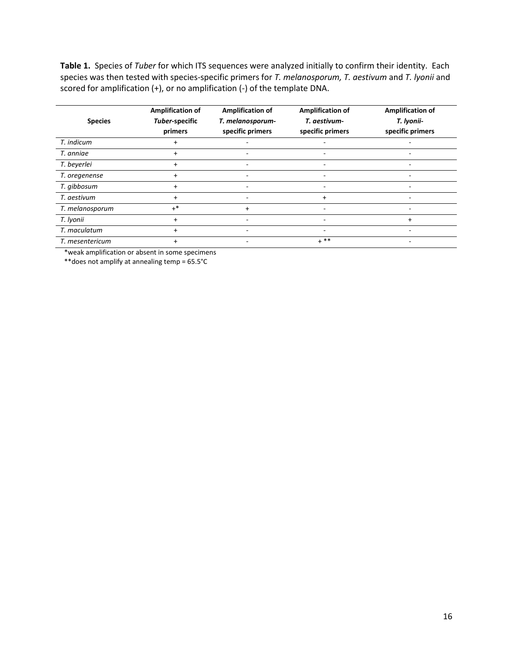**Table 1.** Species of *Tuber* for which ITS sequences were analyzed initially to confirm their identity. Each species was then tested with species-specific primers for *T. melanosporum, T. aestivum* and *T. lyonii* and scored for amplification (+), or no amplification (-) of the template DNA.

| <b>Species</b>  | <b>Amplification of</b><br>Tuber-specific<br>primers | <b>Amplification of</b><br>T. melanosporum-<br>specific primers | <b>Amplification of</b><br>T. aestivum-<br>specific primers | <b>Amplification of</b><br>T. lyonii-<br>specific primers |
|-----------------|------------------------------------------------------|-----------------------------------------------------------------|-------------------------------------------------------------|-----------------------------------------------------------|
| T. indicum      | $\pm$                                                |                                                                 |                                                             |                                                           |
| T. anniae       | $\ddot{}$                                            |                                                                 |                                                             |                                                           |
| T. beyerlei     | +                                                    |                                                                 |                                                             |                                                           |
| T. oregenense   | $\ddot{}$                                            |                                                                 |                                                             |                                                           |
| T. gibbosum     | $\ddot{}$                                            |                                                                 |                                                             |                                                           |
| T. aestivum     | $\ddot{}$                                            |                                                                 |                                                             |                                                           |
| T. melanosporum | $+^*$                                                | $\ddot{}$                                                       |                                                             |                                                           |
| T. Iyonii       | $\ddot{}$                                            |                                                                 |                                                             | $^+$                                                      |
| T. maculatum    | $\ddot{}$                                            |                                                                 |                                                             |                                                           |
| T. mesentericum | $\ddot{}$                                            |                                                                 | $+$ **                                                      |                                                           |

\*weak amplification or absent in some specimens

\*\*does not amplify at annealing temp = 65.5°C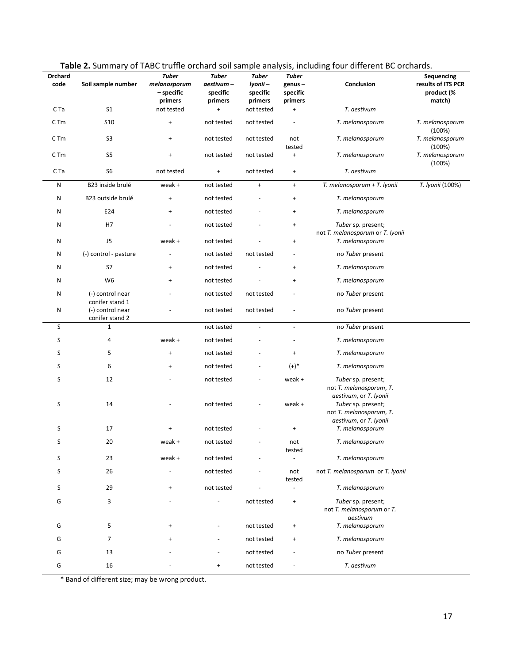| Orchard<br>code | ---------<br>Soil sample number     | <b>Tuber</b><br>melanosporum<br>- specific<br>primers | <b>Tuber</b><br>aestivum –<br>specific<br>primers | <b>Tuber</b><br>lyonii -<br>specific<br>primers | Tuber<br>genus-<br>specific<br>primers | Conclusion                                                                                        | Sequencing<br>results of ITS PCR<br>product (%<br>match) |
|-----------------|-------------------------------------|-------------------------------------------------------|---------------------------------------------------|-------------------------------------------------|----------------------------------------|---------------------------------------------------------------------------------------------------|----------------------------------------------------------|
| C Ta            | S <sub>1</sub>                      | not tested                                            | $^{+}$                                            | not tested                                      | $\ddot{}$                              | T. aestivum                                                                                       |                                                          |
| C <sub>Tm</sub> | S <sub>10</sub>                     | $\ddot{}$                                             | not tested                                        | not tested                                      |                                        | T. melanosporum                                                                                   | T. melanosporum<br>(100%)                                |
| C Tm            | S <sub>3</sub>                      | $\begin{array}{c} + \end{array}$                      | not tested                                        | not tested                                      | not<br>tested                          | T. melanosporum                                                                                   | T. melanosporum<br>(100%)                                |
| C <sub>Tm</sub> | S <sub>5</sub>                      | $\begin{array}{c} + \end{array}$                      | not tested                                        | not tested                                      | $\ddot{}$                              | T. melanosporum                                                                                   | T. melanosporum<br>(100%)                                |
| C Ta            | S <sub>6</sub>                      | not tested                                            | $\ddot{}$                                         | not tested                                      | $\ddot{}$                              | T. aestivum                                                                                       |                                                          |
| N               | B23 inside brulé                    | weak +                                                | not tested                                        | $\ddot{}$                                       | $\begin{array}{c} + \end{array}$       | T. melanosporum + T. Iyonii                                                                       | T. Iyonii (100%)                                         |
| Ν               | B23 outside brulé                   | $\begin{array}{c} + \end{array}$                      | not tested                                        |                                                 | $\begin{array}{c} + \end{array}$       | T. melanosporum                                                                                   |                                                          |
| N               | E24                                 | $\ddot{}$                                             | not tested                                        |                                                 | $\ddot{}$                              | T. melanosporum                                                                                   |                                                          |
| N               | H7                                  |                                                       | not tested                                        |                                                 | $\ddot{}$                              | Tuber sp. present;<br>not T. melanosporum or T. Iyonii                                            |                                                          |
| N               | J5                                  | weak +                                                | not tested                                        |                                                 | $\ddot{}$                              | T. melanosporum                                                                                   |                                                          |
| N               | (-) control - pasture               |                                                       | not tested                                        | not tested                                      |                                        | no Tuber present                                                                                  |                                                          |
| N               | S7                                  | $\ddot{}$                                             | not tested                                        |                                                 | $\ddot{}$                              | T. melanosporum                                                                                   |                                                          |
| N               | W <sub>6</sub>                      | $^{+}$                                                | not tested                                        |                                                 | $^{+}$                                 | T. melanosporum                                                                                   |                                                          |
| N               | (-) control near<br>conifer stand 1 |                                                       | not tested                                        | not tested                                      |                                        | no Tuber present                                                                                  |                                                          |
| Ν               | (-) control near<br>conifer stand 2 |                                                       | not tested                                        | not tested                                      |                                        | no Tuber present                                                                                  |                                                          |
| S               | $\mathbf{1}$                        |                                                       | not tested                                        |                                                 | $\blacksquare$                         | no Tuber present                                                                                  |                                                          |
| S               | 4                                   | weak +                                                | not tested                                        |                                                 |                                        | T. melanosporum                                                                                   |                                                          |
| S               | 5                                   | $\ddot{}$                                             | not tested                                        |                                                 | $\ddot{}$                              | T. melanosporum                                                                                   |                                                          |
| S               | 6                                   | $\ddot{}$                                             | not tested                                        |                                                 | $(+)^*$                                | T. melanosporum                                                                                   |                                                          |
| S               | 12                                  |                                                       | not tested                                        |                                                 | weak +                                 | Tuber sp. present;<br>not T. melanosporum, T.                                                     |                                                          |
| S               | 14                                  |                                                       | not tested                                        |                                                 | weak +                                 | aestivum, or T. Iyonii<br>Tuber sp. present;<br>not T. melanosporum, T.<br>aestivum, or T. Iyonii |                                                          |
| S               | 17                                  | $\ddot{}$                                             | not tested                                        |                                                 | $\ddot{}$                              | T. melanosporum                                                                                   |                                                          |
| S               | 20                                  | weak +                                                | not tested                                        |                                                 | not<br>tested                          | T. melanosporum                                                                                   |                                                          |
| S               | 23                                  | weak +                                                | not tested                                        |                                                 |                                        | T. melanosporum                                                                                   |                                                          |
| S               | 26                                  |                                                       | not tested                                        |                                                 | not<br>tested                          | not T. melanosporum or T. Iyonii                                                                  |                                                          |
| S               | 29                                  | $\ddot{}$                                             | not tested                                        |                                                 | $\blacksquare$                         | T. melanosporum                                                                                   |                                                          |
| G               | 3                                   | $\blacksquare$                                        | ÷,                                                | not tested                                      | $\pm$                                  | Tuber sp. present;<br>not T. melanosporum or T.<br>aestivum                                       |                                                          |
| G               | 5                                   | $\ddot{}$                                             |                                                   | not tested                                      | $\ddot{}$                              | T. melanosporum                                                                                   |                                                          |
| G               | 7                                   |                                                       |                                                   | not tested                                      | $^{+}$                                 | T. melanosporum                                                                                   |                                                          |
| G               | 13                                  |                                                       |                                                   | not tested                                      |                                        | no Tuber present                                                                                  |                                                          |
| G               | 16                                  |                                                       | $\ddot{}$                                         | not tested                                      |                                        | T. aestivum                                                                                       |                                                          |

|  |  |  |  |  | Table 2. Summary of TABC truffle orchard soil sample analysis, including four different BC orchards. |
|--|--|--|--|--|------------------------------------------------------------------------------------------------------|
|--|--|--|--|--|------------------------------------------------------------------------------------------------------|

\* Band of different size; may be wrong product.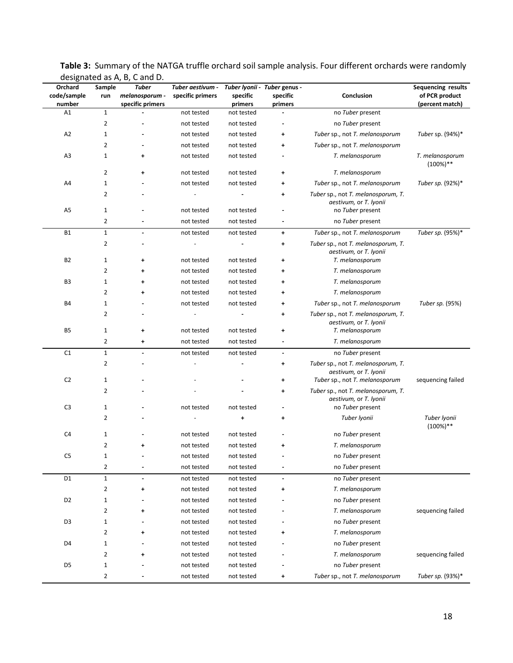| Orchard               | Sample                         | ucsigliated as A, D, C allu D.<br>Tuber | Tuber aestivum - |                     | Tuber Iyonii - Tuber genus - |                                                                                 | Sequencing results                |
|-----------------------|--------------------------------|-----------------------------------------|------------------|---------------------|------------------------------|---------------------------------------------------------------------------------|-----------------------------------|
| code/sample<br>number | run                            | melanosporum -<br>specific primers      | specific primers | specific<br>primers | specific<br>primers          | Conclusion                                                                      | of PCR product<br>(percent match) |
| A1                    | $\mathbf{1}$                   |                                         | not tested       | not tested          |                              | no Tuber present                                                                |                                   |
|                       | $\overline{2}$                 |                                         | not tested       | not tested          |                              | no Tuber present                                                                |                                   |
| A <sub>2</sub>        | $\mathbf{1}$                   |                                         | not tested       | not tested          | ۰                            | Tuber sp., not T. melanosporum                                                  | Tuber sp. (94%)*                  |
|                       | $\overline{2}$                 |                                         | not tested       | not tested          | +                            | Tuber sp., not T. melanosporum                                                  |                                   |
| A3                    | $\mathbf{1}$                   | ٠                                       | not tested       | not tested          |                              | T. melanosporum                                                                 | T. melanosporum<br>$(100\%)$ **   |
|                       | $\overline{2}$                 | ٠                                       | not tested       | not tested          | ۰                            | T. melanosporum                                                                 |                                   |
| A4                    | 1                              |                                         | not tested       | not tested          | +                            | Tuber sp., not T. melanosporum                                                  | Tuber sp. (92%)*                  |
|                       | $\overline{2}$                 |                                         |                  |                     | ۰                            | Tuber sp., not T. melanosporum, T.<br>aestivum, or T. lyonii                    |                                   |
| A <sub>5</sub>        | $\mathbf{1}$                   |                                         | not tested       | not tested          |                              | no Tuber present                                                                |                                   |
|                       | $\overline{2}$                 |                                         | not tested       | not tested          | $\blacksquare$               | no Tuber present                                                                |                                   |
| <b>B1</b>             | $1\,$                          |                                         | not tested       | not tested          | ٠                            | Tuber sp., not T. melanosporum                                                  | Tuber sp. (95%)*                  |
|                       | $\overline{2}$                 |                                         |                  |                     | ۰                            | Tuber sp., not T. melanosporum, T.<br>aestivum, or T. lyonii                    |                                   |
| <b>B2</b>             | $\mathbf{1}$                   | $\ddot{}$                               | not tested       | not tested          | +                            | T. melanosporum                                                                 |                                   |
|                       | $\overline{2}$                 | ٠                                       | not tested       | not tested          | ۰                            | T. melanosporum                                                                 |                                   |
| B <sub>3</sub>        | $\mathbf{1}$                   | ٠                                       | not tested       | not tested          | ۰                            | T. melanosporum                                                                 |                                   |
|                       | $\overline{2}$                 | ٠                                       | not tested       | not tested          | ۰                            | T. melanosporum                                                                 |                                   |
| <b>B4</b>             | $\mathbf{1}$                   |                                         | not tested       | not tested          | ۰                            | Tuber sp., not T. melanosporum                                                  | Tuber sp. (95%)                   |
| <b>B5</b>             | $\overline{2}$<br>$\mathbf{1}$ | ۰                                       | not tested       | not tested          | ۰<br>+                       | Tuber sp., not T. melanosporum, T.<br>aestivum, or T. lyonii<br>T. melanosporum |                                   |
|                       | 2                              | +                                       | not tested       | not tested          | $\blacksquare$               | T. melanosporum                                                                 |                                   |
| C <sub>1</sub>        | $\mathbf{1}$                   | $\blacksquare$                          | not tested       | not tested          | $\blacksquare$               | no Tuber present                                                                |                                   |
|                       | 2                              |                                         |                  |                     | +                            | Tuber sp., not T. melanosporum, T.                                              |                                   |
| C <sub>2</sub>        | $\mathbf{1}$                   |                                         |                  |                     | +                            | aestivum, or T. Iyonii<br>Tuber sp., not T. melanosporum                        | sequencing failed                 |
|                       | $\overline{2}$                 |                                         |                  |                     | $\ddot{}$                    | Tuber sp., not T. melanosporum, T.                                              |                                   |
| C <sub>3</sub>        | $\mathbf{1}$                   |                                         | not tested       | not tested          |                              | aestivum, or T. Iyonii<br>no Tuber present                                      |                                   |
|                       | $\overline{2}$                 |                                         |                  | +                   | $\ddot{}$                    | Tuber Iyonii                                                                    | Tuber Iyonii                      |
| C <sub>4</sub>        | $\mathbf{1}$                   |                                         | not tested       | not tested          |                              | no Tuber present                                                                | $(100\%)$ **                      |
|                       | $\overline{2}$                 | ۰                                       | not tested       | not tested          | ۰                            | T. melanosporum                                                                 |                                   |
| C5                    | $\mathbf{1}$                   |                                         | not tested       | not tested          |                              | no Tuber present                                                                |                                   |
|                       | 2                              | $\overline{a}$                          | not tested       | not tested          | $\overline{\phantom{a}}$     | no Tuber present                                                                |                                   |
| D <sub>1</sub>        | $\mathbf 1$                    | $\ddot{\phantom{1}}$                    | not tested       | not tested          | $\sim$                       | no Tuber present                                                                |                                   |
|                       | $\overline{2}$                 | ۰                                       | not tested       | not tested          | ۰                            | T. melanosporum                                                                 |                                   |
| D <sub>2</sub>        | $\mathbf{1}$                   |                                         | not tested       | not tested          |                              | no Tuber present                                                                |                                   |
|                       | 2                              | $\ddot{}$                               | not tested       | not tested          |                              | T. melanosporum                                                                 | sequencing failed                 |
| D <sub>3</sub>        | $\mathbf{1}$                   |                                         | not tested       | not tested          |                              | no Tuber present                                                                |                                   |
|                       | 2                              | +                                       | not tested       | not tested          | ٠                            | T. melanosporum                                                                 |                                   |
| D <sub>4</sub>        | $\mathbf{1}$                   |                                         | not tested       | not tested          |                              | no Tuber present                                                                |                                   |
|                       | $\overline{2}$                 | $\ddot{}$                               | not tested       | not tested          |                              | T. melanosporum                                                                 | sequencing failed                 |
| D <sub>5</sub>        | $\mathbf{1}$                   |                                         | not tested       | not tested          |                              | no Tuber present                                                                |                                   |
|                       | $\overline{2}$                 |                                         | not tested       | not tested          | +                            | Tuber sp., not T. melanosporum                                                  | Tuber sp. (93%)*                  |
|                       |                                |                                         |                  |                     |                              |                                                                                 |                                   |

**Table 3:** Summary of the NATGA truffle orchard soil sample analysis. Four different orchards were randomly designated as  $\overline{A}$ , B, C and D.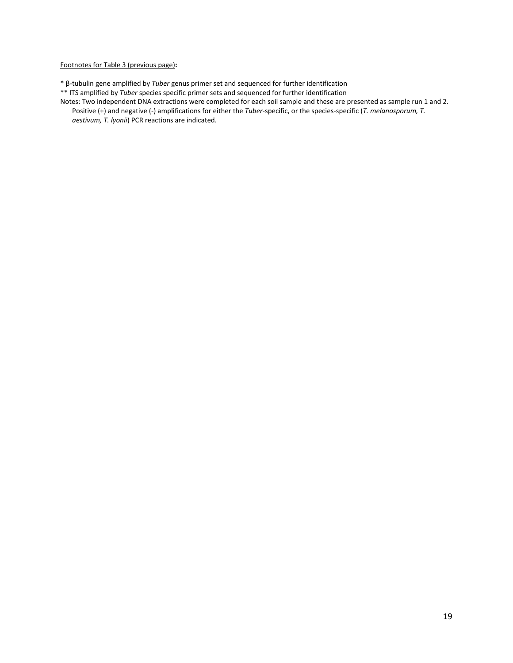## Footnotes for Table 3 (previous page)**:**

- \* β-tubulin gene amplified by *Tuber* genus primer set and sequenced for further identification
- \*\* ITS amplified by *Tuber* species specific primer sets and sequenced for further identification
- Notes: Two independent DNA extractions were completed for each soil sample and these are presented as sample run 1 and 2. Positive (+) and negative (-) amplifications for either the *Tuber*-specific, or the species-specific (*T. melanosporum, T. aestivum, T. lyonii*) PCR reactions are indicated.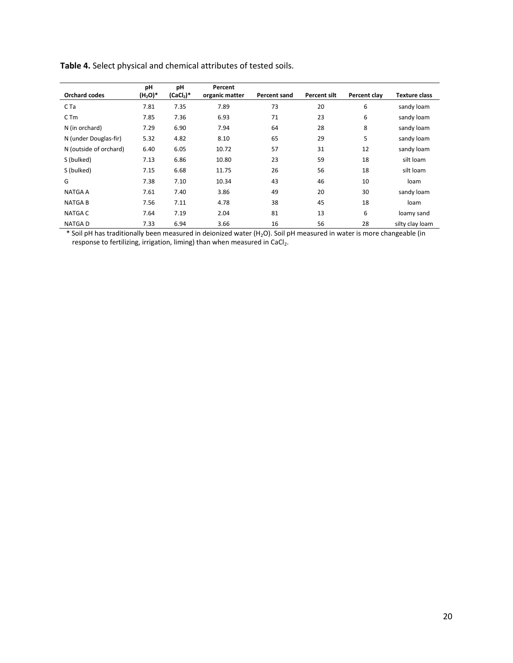|                        | pH         | pH          | Percent        |              |                     |              |                      |
|------------------------|------------|-------------|----------------|--------------|---------------------|--------------|----------------------|
| <b>Orchard codes</b>   | $(H_2O)^*$ | $(CaCl2)$ * | organic matter | Percent sand | <b>Percent silt</b> | Percent clay | <b>Texture class</b> |
| C Ta                   | 7.81       | 7.35        | 7.89           | 73           | 20                  | 6            | sandy loam           |
| $C$ T <sub>m</sub>     | 7.85       | 7.36        | 6.93           | 71           | 23                  | 6            | sandy loam           |
| N (in orchard)         | 7.29       | 6.90        | 7.94           | 64           | 28                  | 8            | sandy loam           |
| N (under Douglas-fir)  | 5.32       | 4.82        | 8.10           | 65           | 29                  | 5            | sandy loam           |
| N (outside of orchard) | 6.40       | 6.05        | 10.72          | 57           | 31                  | 12           | sandy loam           |
| S (bulked)             | 7.13       | 6.86        | 10.80          | 23           | 59                  | 18           | silt loam            |
| S (bulked)             | 7.15       | 6.68        | 11.75          | 26           | 56                  | 18           | silt loam            |
| G                      | 7.38       | 7.10        | 10.34          | 43           | 46                  | 10           | loam                 |
| <b>NATGA A</b>         | 7.61       | 7.40        | 3.86           | 49           | 20                  | 30           | sandy loam           |
| <b>NATGAB</b>          | 7.56       | 7.11        | 4.78           | 38           | 45                  | 18           | loam                 |
| <b>NATGA C</b>         | 7.64       | 7.19        | 2.04           | 81           | 13                  | 6            | loamy sand           |
| <b>NATGAD</b>          | 7.33       | 6.94        | 3.66           | 16           | 56                  | 28           | silty clay loam      |

**Table 4.** Select physical and chemical attributes of tested soils.

\* Soil pH has traditionally been measured in deionized water (H<sub>2</sub>O). Soil pH measured in water is more changeable (in response to fertilizing, irrigation, liming) than when measured in CaCl<sub>2</sub>.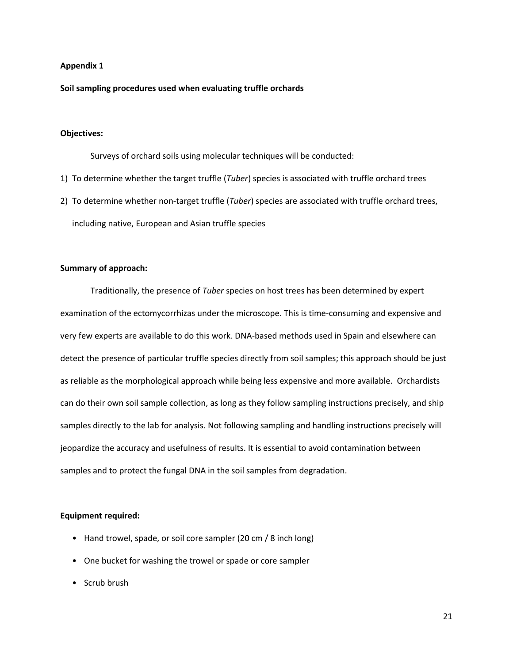# **Appendix 1**

**Soil sampling procedures used when evaluating truffle orchards**

# **Objectives:**

Surveys of orchard soils using molecular techniques will be conducted:

- 1) To determine whether the target truffle (*Tuber*) species is associated with truffle orchard trees
- 2) To determine whether non-target truffle (*Tuber*) species are associated with truffle orchard trees, including native, European and Asian truffle species

## **Summary of approach:**

Traditionally, the presence of *Tuber* species on host trees has been determined by expert examination of the ectomycorrhizas under the microscope. This is time-consuming and expensive and very few experts are available to do this work. DNA-based methods used in Spain and elsewhere can detect the presence of particular truffle species directly from soil samples; this approach should be just as reliable as the morphological approach while being less expensive and more available. Orchardists can do their own soil sample collection, as long as they follow sampling instructions precisely, and ship samples directly to the lab for analysis. Not following sampling and handling instructions precisely will jeopardize the accuracy and usefulness of results. It is essential to avoid contamination between samples and to protect the fungal DNA in the soil samples from degradation.

## **Equipment required:**

- Hand trowel, spade, or soil core sampler (20 cm / 8 inch long)
- One bucket for washing the trowel or spade or core sampler
- Scrub brush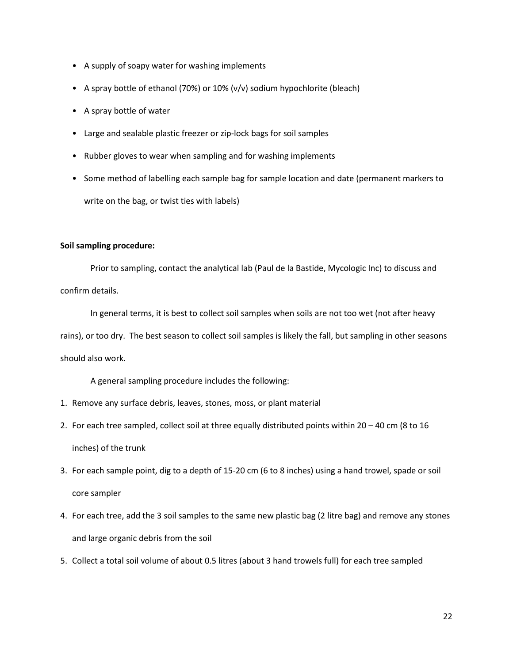- A supply of soapy water for washing implements
- A spray bottle of ethanol (70%) or 10% (v/v) sodium hypochlorite (bleach)
- A spray bottle of water
- Large and sealable plastic freezer or zip-lock bags for soil samples
- Rubber gloves to wear when sampling and for washing implements
- Some method of labelling each sample bag for sample location and date (permanent markers to write on the bag, or twist ties with labels)

## **Soil sampling procedure:**

Prior to sampling, contact the analytical lab (Paul de la Bastide, Mycologic Inc) to discuss and confirm details.

In general terms, it is best to collect soil samples when soils are not too wet (not after heavy rains), or too dry. The best season to collect soil samples is likely the fall, but sampling in other seasons should also work.

A general sampling procedure includes the following:

- 1. Remove any surface debris, leaves, stones, moss, or plant material
- 2. For each tree sampled, collect soil at three equally distributed points within 20 40 cm (8 to 16 inches) of the trunk
- 3. For each sample point, dig to a depth of 15-20 cm (6 to 8 inches) using a hand trowel, spade or soil core sampler
- 4. For each tree, add the 3 soil samples to the same new plastic bag (2 litre bag) and remove any stones and large organic debris from the soil
- 5. Collect a total soil volume of about 0.5 litres (about 3 hand trowels full) for each tree sampled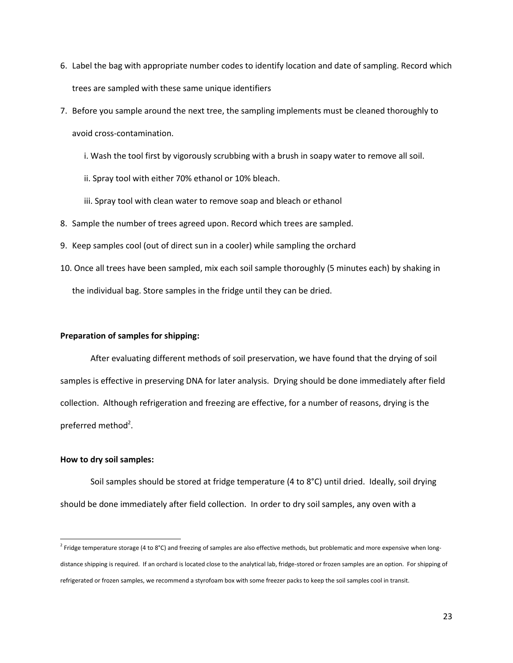- 6. Label the bag with appropriate number codes to identify location and date of sampling. Record which trees are sampled with these same unique identifiers
- 7. Before you sample around the next tree, the sampling implements must be cleaned thoroughly to avoid cross-contamination.
	- i. Wash the tool first by vigorously scrubbing with a brush in soapy water to remove all soil.
	- ii. Spray tool with either 70% ethanol or 10% bleach.
	- iii. Spray tool with clean water to remove soap and bleach or ethanol
- 8. Sample the number of trees agreed upon. Record which trees are sampled.
- 9. Keep samples cool (out of direct sun in a cooler) while sampling the orchard
- 10. Once all trees have been sampled, mix each soil sample thoroughly (5 minutes each) by shaking in the individual bag. Store samples in the fridge until they can be dried.

# **Preparation of samples for shipping:**

After evaluating different methods of soil preservation, we have found that the drying of soil samples is effective in preserving DNA for later analysis. Drying should be done immediately after field collection. Although refrigeration and freezing are effective, for a number of reasons, drying is the preferred method<sup>2</sup>.

#### **How to dry soil samples:**

Soil samples should be stored at fridge temperature (4 to 8°C) until dried. Ideally, soil drying should be done immediately after field collection. In order to dry soil samples, any oven with a

 $2$  Fridge temperature storage (4 to 8°C) and freezing of samples are also effective methods, but problematic and more expensive when longdistance shipping is required. If an orchard is located close to the analytical lab, fridge-stored or frozen samples are an option. For shipping of refrigerated or frozen samples, we recommend a styrofoam box with some freezer packs to keep the soil samples cool in transit.